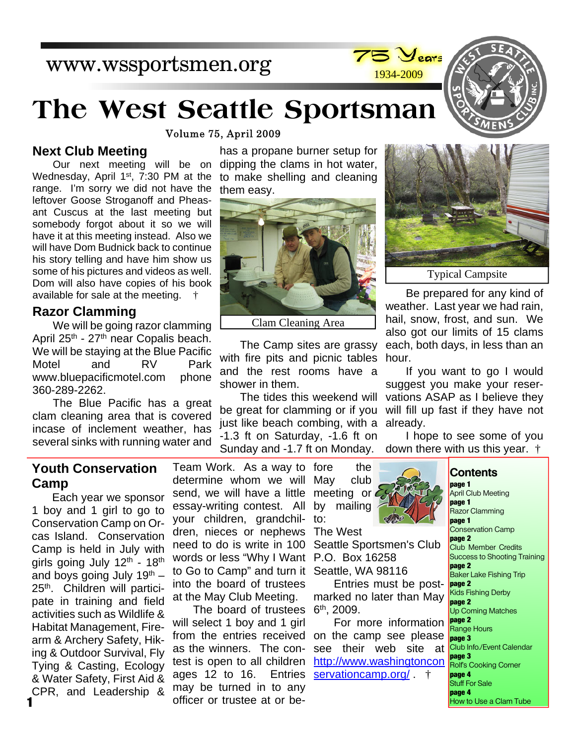# www.wssportsmen.org

# **The West Seattle Sportsman**

Volume 75, April 2009

#### **Next Club Meeting**

Our next meeting will be on Wednesday, April  $1<sup>st</sup>$ , 7:30 PM at the range. I'm sorry we did not have the leftover Goose Stroganoff and Pheasant Cuscus at the last meeting but somebody forgot about it so we will have it at this meeting instead. Also we will have Dom Budnick back to continue his story telling and have him show us some of his pictures and videos as well. Dom will also have copies of his book available for sale at the meeting. †

#### **Razor Clamming**

We will be going razor clamming April 25<sup>th</sup> - 27<sup>th</sup> near Copalis beach. We will be staying at the Blue Pacific Motel and RV Park www.bluepacificmotel.com phone 360-289-2262.

The Blue Pacific has a great clam cleaning area that is covered incase of inclement weather, has several sinks with running water and

has a propane burner setup for dipping the clams in hot water, to make shelling and cleaning them easy.



Clam Cleaning Area

The Camp sites are grassy with fire pits and picnic tables and the rest rooms have a shower in them.

The tides this weekend will be great for clamming or if you just like beach combing, with a -1.3 ft on Saturday, -1.6 ft on Sunday and -1.7 ft on Monday.

1934-2009

Typical Campsite

Be prepared for any kind of weather. Last year we had rain, hail, snow, frost, and sun. We also got our limits of 15 clams each, both days, in less than an hour.

If you want to go I would suggest you make your reservations ASAP as I believe they will fill up fast if they have not already.

I hope to see some of you down there with us this year. †

#### **Youth Conservation Camp**

Each year we sponsor 1 boy and 1 girl to go to Conservation Camp on Orcas Island. Conservation Camp is held in July with girls going July  $12<sup>th</sup>$  -  $18<sup>th</sup>$ and boys going July  $19<sup>th</sup>$  – 25<sup>th</sup>. Children will participate in training and field activities such as Wildlife & Habitat Management, Firearm & Archery Safety, Hiking & Outdoor Survival, Fly Tying & Casting, Ecology & Water Safety, First Aid & CPR, and Leadership &

Team Work. As a way to fore the determine whom we will May club send, we will have a little meeting or essay-writing contest. All your children, grandchil-to: dren, nieces or nephews The West need to do is write in 100 words or less "Why I Want P.O. Box 16258 to Go to Camp" and turn it Seattle, WA 98116 into the board of trustees at the May Club Meeting.

The board of trustees will select 1 boy and 1 girl from the entries received as the winners. The contest is open to all children ages 12 to 16. Entries may be turned in to any officer or trustee at or be-

by mailing

Seattle Sportsmen's Club

Entries must be postmarked no later than May 6 th, 2009.

For more information on the camp see please see their web site at http://www.washingtoncon servationcamp.org/  $\dagger$ 

April Club Meeting **page 1** Razor Clamming **page 1** Conservation Camp **page 2** Club Member Credits Success to Shooting Training **page 2** Baker Lake Fishing Trip **page 2** Kids Fishing Derby **page 2** Up Coming Matches **page 2** Range Hours **page 3** Club Info./Event Calendar **page 3** Rolf's Cooking Corner **page 4** Stuff For Sale **page 4** How to Use a Clam Tube



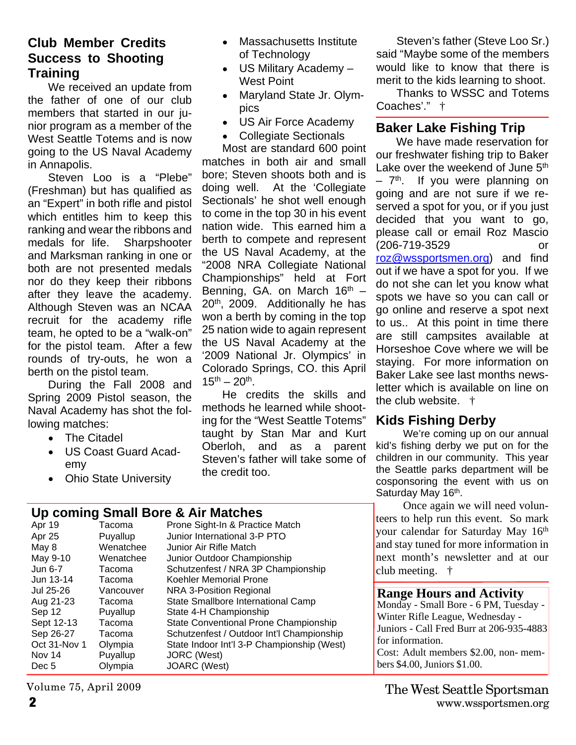#### **Club Member Credits Success to Shooting Training**

We received an update from the father of one of our club members that started in our junior program as a member of the West Seattle Totems and is now going to the US Naval Academy in Annapolis.

Steven Loo is a "Plebe" (Freshman) but has qualified as an "Expert" in both rifle and pistol which entitles him to keep this ranking and wear the ribbons and medals for life. Sharpshooter and Marksman ranking in one or both are not presented medals nor do they keep their ribbons after they leave the academy. Although Steven was an NCAA recruit for the academy rifle team, he opted to be a "walk-on" for the pistol team. After a few rounds of try-outs, he won a berth on the pistol team.

During the Fall 2008 and Spring 2009 Pistol season, the Naval Academy has shot the following matches:

- The Citadel  $\bullet$
- US Coast Guard Academy
- Ohio State University

#### Massachusetts Institute of Technology

- US Military Academy West Point
- Maryland State Jr. Olympics
- US Air Force Academy
- Collegiate Sectionals  $\bullet$

Most are standard 600 point matches in both air and small bore; Steven shoots both and is doing well. At the 'Collegiate Sectionals' he shot well enough to come in the top 30 in his event nation wide. This earned him a berth to compete and represent the US Naval Academy, at the "2008 NRA Collegiate National Championships" held at Fort Benning, GA. on March  $16<sup>th</sup>$  – 20th, 2009. Additionally he has won a berth by coming in the top 25 nation wide to again represent the US Naval Academy at the '2009 National Jr. Olympics' in Colorado Springs, CO. this April  $15^{th} - 20^{th}$ .

He credits the skills and methods he learned while shooting for the "West Seattle Totems" taught by Stan Mar and Kurt Oberloh, and as a parent Steven's father will take some of the credit too.

Steven's father (Steve Loo Sr.) said "Maybe some of the members would like to know that there is merit to the kids learning to shoot.

Thanks to WSSC and Totems Coaches'." †

### **Baker Lake Fishing Trip**

We have made reservation for our freshwater fishing trip to Baker Lake over the weekend of June 5<sup>th</sup>  $-7$ <sup>th</sup>. If you were planning on going and are not sure if we reserved a spot for you, or if you just decided that you want to go, please call or email Roz Mascio (206-719-3529 or roz@wssportsmen.org) and find out if we have a spot for you. If we

do not she can let you know what spots we have so you can call or go online and reserve a spot next to us.. At this point in time there are still campsites available at Horseshoe Cove where we will be staying. For more information on Baker Lake see last months newsletter which is available on line on the club website. †

#### **Kids Fishing Derby**

We're coming up on our annual kid's fishing derby we put on for the children in our community. This year the Seattle parks department will be cosponsoring the event with us on Saturday May 16<sup>th</sup>.

Once again we will need volunteers to help run this event. So mark your calendar for Saturday May 16th and stay tuned for more information in next month's newsletter and at our club meeting. †

#### **Range Hours and Activity**

Monday - Small Bore - 6 PM, Tuesday - Winter Rifle League, Wednesday - Juniors - Call Fred Burr at 206-935-4883 for information. Cost: Adult members \$2.00, non- mem-

bers \$4.00, Juniors \$1.00.

#### **Up coming Small Bore & Air Matches**

| Apr 19       | Tacoma    | Prone Sight-In & Practice Match            |
|--------------|-----------|--------------------------------------------|
| Apr 25       | Puyallup  | Junior International 3-P PTO               |
| May 8        | Wenatchee | Junior Air Rifle Match                     |
| May 9-10     | Wenatchee | Junior Outdoor Championship                |
| Jun 6-7      | Tacoma    | Schutzenfest / NRA 3P Championship         |
| Jun 13-14    | Tacoma    | Koehler Memorial Prone                     |
| Jul 25-26    | Vancouver | <b>NRA 3-Position Regional</b>             |
| Aug 21-23    | Tacoma    | State Smallbore International Camp         |
| Sep 12       | Puyallup  | State 4-H Championship                     |
| Sept 12-13   | Tacoma    | State Conventional Prone Championship      |
| Sep 26-27    | Tacoma    | Schutzenfest / Outdoor Int'l Championship  |
| Oct 31-Nov 1 | Olympia   | State Indoor Int'l 3-P Championship (West) |
| Nov 14       | Puyallup  | <b>JORC</b> (West)                         |
| Dec 5        | Olympia   | JOARC (West)                               |

Volume 75, April 2009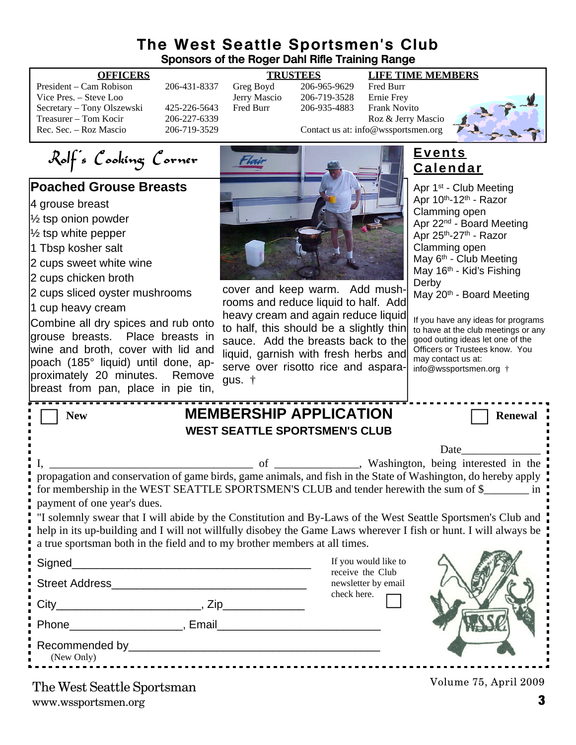#### **The West Seattle Sportsmen's Club Sponsors of the Roger Dahl Rifle Training Range**

President – Cam Robison 206-431-8337 Greg Boyd 206-965-9629 Fred Burr Vice Pres. – Steve Loo Jerry Mascio 206-719-3528 Ernie Frey Secretary – Tony Olszewski 425-226-5643 Fred Burr 206-935-4883 Frank Novito Treasurer – Tom Kocir 206-227-6339<br>
Roz & Jerry Mascio 206-719-3529 Contact us at: info@wssportsmen.org

#### **OFFICERS TRUSTEES LIFE TIME MEMBERS**

206-719-3529 Contact us at: info@wssportsmen.org

Rolf's Cooking Corner

#### **Poached Grouse Breasts**

4 grouse breast

- ½ tsp onion powder
- ½ tsp white pepper
- 1 Tbsp kosher salt
- 2 cups sweet white wine
- 2 cups chicken broth
- 2 cups sliced oyster mushrooms
- 1 cup heavy cream

Combine all dry spices and rub onto grouse breasts. Place breasts in wine and broth, cover with lid and poach (185° liquid) until done, approximately 20 minutes. Remove breast from pan, place in pie tin,



cover and keep warm. Add mushrooms and reduce liquid to half. Add heavy cream and again reduce liquid to half, this should be a slightly thin sauce. Add the breasts back to the liquid, garnish with fresh herbs and serve over risotto rice and asparagus. †

### **Events Calendar**

Apr 1<sup>st</sup> - Club Meeting Apr  $10^{th}$ -12<sup>th</sup> - Razor Clamming open Apr 22nd - Board Meeting Apr 25th-27th - Razor Clamming open May 6<sup>th</sup> - Club Meeting May 16<sup>th</sup> - Kid's Fishing Derby May 20<sup>th</sup> - Board Meeting

If you have any ideas for programs to have at the club meetings or any good outing ideas let one of the Officers or Trustees know. You may contact us at: info@wssportsmen.org †

| <b>MEMBERSHIP APPLICATION</b><br><b>New</b>                                                                                                                                                                                                                                                                                  |                                                        | <b>Renewal</b>        |  |  |
|------------------------------------------------------------------------------------------------------------------------------------------------------------------------------------------------------------------------------------------------------------------------------------------------------------------------------|--------------------------------------------------------|-----------------------|--|--|
| <b>WEST SEATTLE SPORTSMEN'S CLUB</b>                                                                                                                                                                                                                                                                                         |                                                        |                       |  |  |
|                                                                                                                                                                                                                                                                                                                              |                                                        | Date                  |  |  |
| propagation and conservation of game birds, game animals, and fish in the State of Washington, do hereby apply<br>for membership in the WEST SEATTLE SPORTSMEN'S CLUB and tender herewith the sum of \$<br>payment of one year's dues.                                                                                       |                                                        |                       |  |  |
| "I solemnly swear that I will abide by the Constitution and By-Laws of the West Seattle Sportsmen's Club and $\frac{1}{1}$<br>help in its up-building and I will not willfully disobey the Game Laws wherever I fish or hunt. I will always be<br>a true sportsman both in the field and to my brother members at all times. |                                                        |                       |  |  |
| Signed_<br><u> 1990 - Johann John Stone, mars eta biztanleria (h. 1900).</u>                                                                                                                                                                                                                                                 | If you would like to                                   |                       |  |  |
| Street Address Management and Changes and Changes and Changes and Changes and Changes and Changes and Changes                                                                                                                                                                                                                | receive the Club<br>newsletter by email<br>check here. |                       |  |  |
|                                                                                                                                                                                                                                                                                                                              |                                                        |                       |  |  |
| Phone Representation of the Representation of the Representation of the Representation of the Representation of the Representation of the Representation of the Representation of the Representation of the Representation of                                                                                                |                                                        |                       |  |  |
| Recommended by experience and the commended by the state of the state of the state of the state of the state of the state of the state of the state of the state of the state of the state of the state of the state of the st<br>(New Only)<br>                                                                             |                                                        |                       |  |  |
| The West Seattle Sportsman                                                                                                                                                                                                                                                                                                   |                                                        | Volume 75, April 2009 |  |  |

www.wssportsmen.org **3** The West Seattle Sportsman